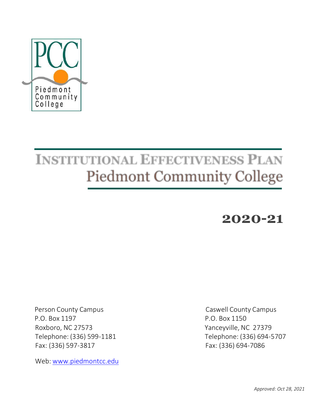

# **INSTITUTIONAL EFFECTIVENESS PLAN Piedmont Community College**

# **2020-21**

 P.O. Box 1197 P.O. Box 1150 Roxboro, NC 27573 Yanceyville, NC 27379 Fax: (336) 597-3817 Fax: (336) 694-7086

Web: [www.piedmontcc.edu](http://www.piedmontcc.edu/)

Person County Campus Caswell County Campus Telephone: (336) 599-1181 Telephone: (336) 694-5707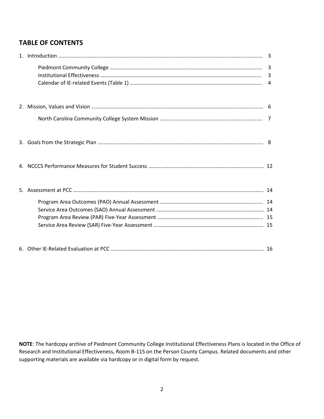# **TABLE OF CONTENTS**

**NOTE**: The hardcopy archive of Piedmont Community College Institutional Effectiveness Plans is located in the Office of Research and Institutional Effectiveness, Room B-115 on the Person County Campus. Related documents and other supporting materials are available via hardcopy or in digital form by request.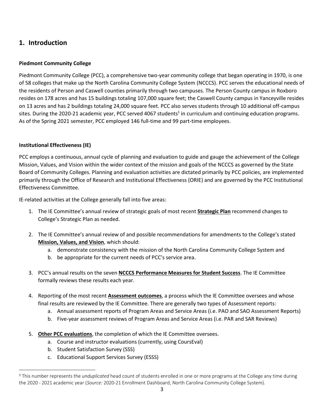# **1. Introduction**

#### **Piedmont Community College**

Piedmont Community College (PCC), a comprehensive two-year community college that began operating in 1970, is one of 58 colleges that make up the North Carolina Community College System (NCCCS). PCC serves the educational needs of the residents of Person and Caswell counties primarily through two campuses. The Person County campus in Roxboro resides on 178 acres and has 15 buildings totaling 107,000 square feet; the Caswell County campus in Yanceyville resides on 13 acres and has 2 buildings totaling 24,000 square feet. PCC also serves students through 10 additional off-campus sites. During the 2020-21 academic year, PCC served 4067 students<sup>1</sup> in curriculum and continuing education programs. As of the Spring 2021 semester, PCC employed 146 full-time and 99 part-time employees.

#### **Institutional Effectiveness (IE)**

PCC employs a continuous, annual cycle of planning and evaluation to guide and gauge the achievement of the College Mission, Values, and Vision within the wider context of the mission and goals of the NCCCS as governed by the State Board of Community Colleges. Planning and evaluation activities are dictated primarily by PCC policies, are implemented primarily through the Office of Research and Institutional Effectiveness (ORIE) and are governed by the PCC Institutional Effectiveness Committee.

IE-related activities at the College generally fall into five areas:

- 1. The IE Committee's annual review of strategic goals of most recent **Strategic Plan** recommend changes to College's Strategic Plan as needed.
- 2. The IE Committee's annual review of and possible recommendations for amendments to the College's stated **Mission, Values, and Vision**, which should:
	- a. demonstrate consistency with the mission of the North Carolina Community College System and
	- b. be appropriate for the current needs of PCC's service area.
- 3. PCC's annual results on the seven **NCCCS Performance Measures for Student Success**. The IE Committee formally reviews these results each year.
- 4. Reporting of the most recent **Assessment outcomes**, a process which the IE Committee oversees and whose final results are reviewed by the IE Committee. There are generally two types of Assessment reports:
	- a. Annual assessment reports of Program Areas and Service Areas (i.e. PAO and SAO Assessment Reports)
	- b. Five-year assessment reviews of Program Areas and Service Areas (i.e. PAR and SAR Reviews)
- 5. **Other PCC evaluations**, the completion of which the IE Committee oversees.
	- a. Course and instructor evaluations (currently, using CoursEval)
	- b. Student Satisfaction Survey (SSS)
	- c. Educational Support Services Survey (ESSS)

<sup>1</sup> This number represents the *unduplicated* head count of students enrolled in one or more programs at the College any time during the 2020 - 2021 academic year (*Source:* 2020-21 Enrollment Dashboard, North Carolina Community College System).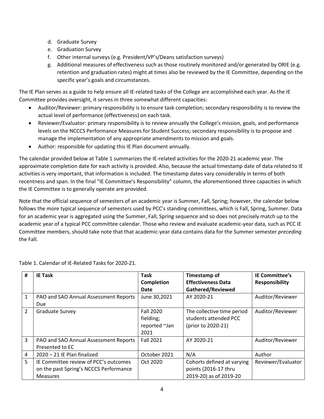- d. Graduate Survey
- e. Graduation Survey
- f. Other internal surveys (e.g. President/VP's/Deans satisfaction surveys)
- g. Additional measures of effectiveness such as those routinely monitored and/or generated by ORIE (e.g. retention and graduation rates) might at times also be reviewed by the IE Committee, depending on the specific year's goals and circumstances.

The IE Plan serves as a guide to help ensure all IE-related tasks of the College are accomplished each year. As the IE Committee provides oversight, it serves in three somewhat different capacities:

- Auditor/Reviewer: primary responsibility is to ensure task completion; secondary responsibility is to review the actual level of performance (effectiveness) on each task.
- Reviewer/Evaluator: primary responsibility is to review annually the College's mission, goals, and performance levels on the NCCCS Performance Measures for Student Success; secondary responsibility is to propose and manage the implementation of any appropriate amendments to mission and goals.
- Author: responsible for updating this IE Plan document annually.

The calendar provided below at Table 1 summarizes the IE-related activities for the 2020-21 academic year. The approximate completion date for each activity is provided. Also, because the actual timestamp date of data related to IE activities is very important, that information is included. The timestamp dates vary considerably in terms of both recentness and span. In the final "IE Committee's Responsibility" column, the aforementioned three capacities in which the IE Committee is to generally operate are provided.

Note that the official sequence of semesters of an academic year is Summer, Fall, Spring; however, the calendar below follows the more typical sequence of semesters used by PCC's standing committees, which is Fall, Spring, Summer. Data for an academic year is aggregated using the Summer, Fall, Spring sequence and so does not precisely match up to the academic year of a typical PCC committee calendar. Those who review and evaluate academic-year data, such as PCC IE Committee members, should take note that that academic-year data contains data for the Summer semester *preceding* the Fall.

| #              | <b>IE Task</b>                         | <b>Task</b>       | Timestamp of               | <b>IE Committee's</b> |
|----------------|----------------------------------------|-------------------|----------------------------|-----------------------|
|                |                                        | <b>Completion</b> | <b>Effectiveness Data</b>  | <b>Responsibility</b> |
|                |                                        | Date              | Gathered/Reviewed          |                       |
| $\mathbf{1}$   | PAO and SAO Annual Assessment Reports  | June 30,2021      | AY 2020-21                 | Auditor/Reviewer      |
|                | Due                                    |                   |                            |                       |
| $\overline{2}$ | <b>Graduate Survey</b>                 | <b>Fall 2020</b>  | The collective time period | Auditor/Reviewer      |
|                |                                        | fielding;         | students attended PCC      |                       |
|                |                                        | reported ~Jan     | (prior to 2020-21)         |                       |
|                |                                        | 2021              |                            |                       |
| $\overline{3}$ | PAO and SAO Annual Assessment Reports  | <b>Fall 2021</b>  | AY 2020-21                 | Auditor/Reviewer      |
|                | Presented to EC                        |                   |                            |                       |
| 4              | 2020 - 21 IE Plan finalized            | October 2021      | N/A                        | Author                |
| 5              | IE Committee review of PCC's outcomes  | Oct 2020          | Cohorts defined at varying | Reviewer/Evaluator    |
|                | on the past Spring's NCCCS Performance |                   | points (2016-17 thru       |                       |
|                | <b>Measures</b>                        |                   | 2019-20) as of 2019-20     |                       |

Table 1. Calendar of IE-Related Tasks for 2020-21.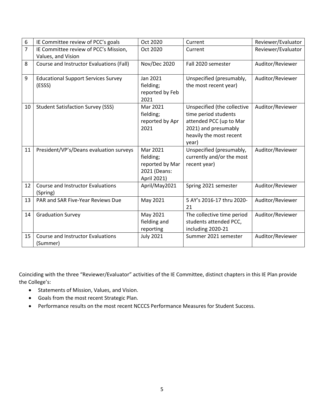| 6              | IE Committee review of PCC's goals         | Oct 2020            | Current                     | Reviewer/Evaluator |
|----------------|--------------------------------------------|---------------------|-----------------------------|--------------------|
| $\overline{7}$ | IE Committee review of PCC's Mission,      | Oct 2020            | Current                     | Reviewer/Evaluator |
|                | Values, and Vision                         |                     |                             |                    |
| 8              | Course and Instructor Evaluations (Fall)   | <b>Nov/Dec 2020</b> | Fall 2020 semester          | Auditor/Reviewer   |
|                |                                            |                     |                             |                    |
| 9              | <b>Educational Support Services Survey</b> | Jan 2021            | Unspecified (presumably,    | Auditor/Reviewer   |
|                | (ESSS)                                     | fielding;           | the most recent year)       |                    |
|                |                                            | reported by Feb     |                             |                    |
|                |                                            | 2021                |                             |                    |
| 10             | <b>Student Satisfaction Survey (SSS)</b>   | Mar 2021            | Unspecified (the collective | Auditor/Reviewer   |
|                |                                            | fielding;           | time period students        |                    |
|                |                                            | reported by Apr     | attended PCC (up to Mar     |                    |
|                |                                            | 2021                | 2021) and presumably        |                    |
|                |                                            |                     | heavily the most recent     |                    |
|                |                                            |                     | year)                       |                    |
| 11             | President/VP's/Deans evaluation surveys    | Mar 2021            | Unspecified (presumably,    | Auditor/Reviewer   |
|                |                                            | fielding;           | currently and/or the most   |                    |
|                |                                            | reported by Mar     | recent year)                |                    |
|                |                                            | 2021 (Deans:        |                             |                    |
|                |                                            | April 2021)         |                             |                    |
| 12             | <b>Course and Instructor Evaluations</b>   | April/May2021       | Spring 2021 semester        | Auditor/Reviewer   |
|                | (Spring)                                   |                     |                             |                    |
| 13             | PAR and SAR Five-Year Reviews Due          | May 2021            | 5 AY's 2016-17 thru 2020-   | Auditor/Reviewer   |
|                |                                            |                     | 21                          |                    |
| 14             | <b>Graduation Survey</b>                   | May 2021            | The collective time period  | Auditor/Reviewer   |
|                |                                            | fielding and        | students attended PCC,      |                    |
|                |                                            | reporting           | including 2020-21           |                    |
| 15             | <b>Course and Instructor Evaluations</b>   | <b>July 2021</b>    | Summer 2021 semester        | Auditor/Reviewer   |
|                | (Summer)                                   |                     |                             |                    |

Coinciding with the three "Reviewer/Evaluator" activities of the IE Committee, distinct chapters in this IE Plan provide the College's:

- Statements of Mission, Values, and Vision.
- Goals from the most recent Strategic Plan.
- Performance results on the most recent NCCCS Performance Measures for Student Success.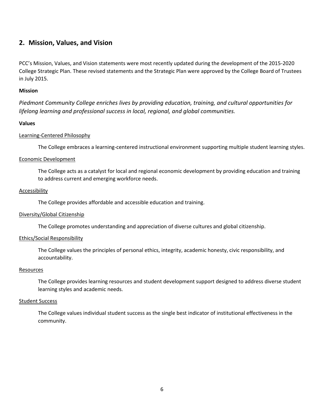### **2. Mission, Values, and Vision**

PCC's Mission, Values, and Vision statements were most recently updated during the development of the 2015-2020 College Strategic Plan. These revised statements and the Strategic Plan were approved by the College Board of Trustees in July 2015.

#### **Mission**

*Piedmont Community College enriches lives by providing education, training, and cultural opportunities for lifelong learning and professional success in local, regional, and global communities.*

#### **Values**

#### Learning-Centered Philosophy

The College embraces a learning-centered instructional environment supporting multiple student learning styles.

#### Economic Development

The College acts as a catalyst for local and regional economic development by providing education and training to address current and emerging workforce needs.

#### Accessibility

The College provides affordable and accessible education and training.

#### Diversity/Global Citizenship

The College promotes understanding and appreciation of diverse cultures and global citizenship.

#### Ethics/Social Responsibility

The College values the principles of personal ethics, integrity, academic honesty, civic responsibility, and accountability.

#### **Resources**

The College provides learning resources and student development support designed to address diverse student learning styles and academic needs.

#### Student Success

The College values individual student success as the single best indicator of institutional effectiveness in the community.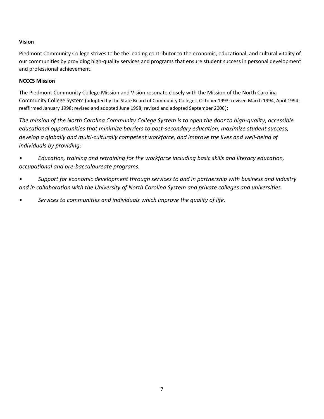#### **Vision**

Piedmont Community College strives to be the leading contributor to the economic, educational, and cultural vitality of our communities by providing high-quality services and programs that ensure student success in personal development and professional achievement.

#### **NCCCS Mission**

The Piedmont Community College Mission and Vision resonate closely with the Mission of the North Carolina Community College System (adopted by the State Board of Community Colleges, October 1993; revised March 1994, April 1994; reaffirmed January 1998; revised and adopted June 1998; revised and adopted September 2006):

*The mission of the North Carolina Community College System is to open the door to high-quality, accessible educational opportunities that minimize barriers to post-secondary education, maximize student success, develop a globally and multi-culturally competent workforce, and improve the lives and well-being of individuals by providing:*

*• Education, training and retraining for the workforce including basic skills and literacy education, occupational and pre-baccalaureate programs.*

*• Support for economic development through services to and in partnership with business and industry and in collaboration with the University of North Carolina System and private colleges and universities.*

*• Services to communities and individuals which improve the quality of life.*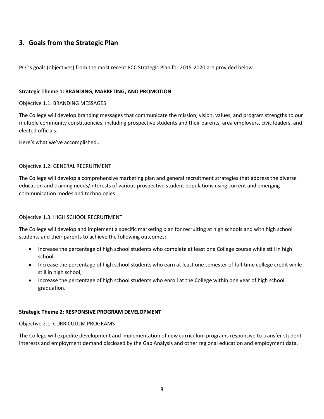# **3. Goals from the Strategic Plan**

PCC's goals (objectives) from the most recent PCC Strategic Plan for 2015-2020 are provided below

#### **Strategic Theme 1: BRANDING, MARKETING, AND PROMOTION**

#### Objective 1.1: BRANDING MESSAGES

The College will develop branding messages that communicate the mission, vision, values, and program strengths to our multiple community constituencies, including prospective students and their parents, area employers, civic leaders, and elected officials.

Here's what we've accomplished…

#### Objective 1.2: GENERAL RECRUITMENT

The College will develop a comprehensive marketing plan and general recruitment strategies that address the diverse education and training needs/interests of various prospective student populations using current and emerging communication modes and technologies.

#### Objective 1.3: HIGH SCHOOL RECRUITMENT

The College will develop and implement a specific marketing plan for recruiting at high schools and with high school students and their parents to achieve the following outcomes:

- Increase the percentage of high school students who complete at least one College course while still in high school;
- Increase the percentage of high school students who earn at least one semester of full-time college credit while still in high school;
- Increase the percentage of high school students who enroll at the College within one year of high school graduation.

#### **Strategic Theme 2: RESPONSIVE PROGRAM DEVELOPMENT**

#### Objective 2.1: CURRICULUM PROGRAMS

The College will expedite development and implementation of new curriculum programs responsive to transfer student interests and employment demand disclosed by the Gap Analysis and other regional education and employment data.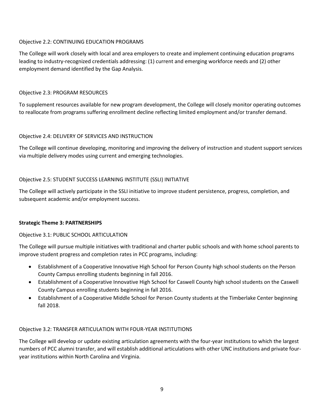#### Objective 2.2: CONTINUING EDUCATION PROGRAMS

The College will work closely with local and area employers to create and implement continuing education programs leading to industry-recognized credentials addressing: (1) current and emerging workforce needs and (2) other employment demand identified by the Gap Analysis.

#### Objective 2.3: PROGRAM RESOURCES

To supplement resources available for new program development, the College will closely monitor operating outcomes to reallocate from programs suffering enrollment decline reflecting limited employment and/or transfer demand.

#### Objective 2.4: DELIVERY OF SERVICES AND INSTRUCTION

The College will continue developing, monitoring and improving the delivery of instruction and student support services via multiple delivery modes using current and emerging technologies.

#### Objective 2.5: STUDENT SUCCESS LEARNING INSTITUTE (SSLI) INITIATIVE

The College will actively participate in the SSLI initiative to improve student persistence, progress, completion, and subsequent academic and/or employment success.

#### **Strategic Theme 3: PARTNERSHIPS**

#### Objective 3.1: PUBLIC SCHOOL ARTICULATION

The College will pursue multiple initiatives with traditional and charter public schools and with home school parents to improve student progress and completion rates in PCC programs, including:

- Establishment of a Cooperative Innovative High School for Person County high school students on the Person County Campus enrolling students beginning in fall 2016.
- Establishment of a Cooperative Innovative High School for Caswell County high school students on the Caswell County Campus enrolling students beginning in fall 2016.
- Establishment of a Cooperative Middle School for Person County students at the Timberlake Center beginning fall 2018.

#### Objective 3.2: TRANSFER ARTICULATION WITH FOUR-YEAR INSTITUTIONS

The College will develop or update existing articulation agreements with the four-year institutions to which the largest numbers of PCC alumni transfer, and will establish additional articulations with other UNC institutions and private fouryear institutions within North Carolina and Virginia.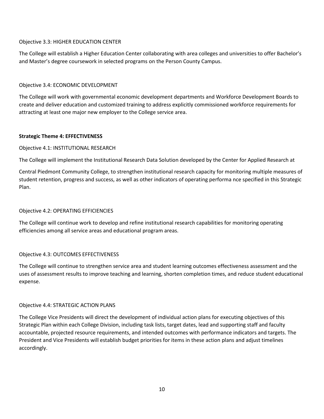#### Objective 3.3: HIGHER EDUCATION CENTER

The College will establish a Higher Education Center collaborating with area colleges and universities to offer Bachelor's and Master's degree coursework in selected programs on the Person County Campus.

#### Objective 3.4: ECONOMIC DEVELOPMENT

The College will work with governmental economic development departments and Workforce Development Boards to create and deliver education and customized training to address explicitly commissioned workforce requirements for attracting at least one major new employer to the College service area.

#### **Strategic Theme 4: EFFECTIVENESS**

#### Objective 4.1: INSTITUTIONAL RESEARCH

The College will implement the Institutional Research Data Solution developed by the Center for Applied Research at

Central Piedmont Community College, to strengthen institutional research capacity for monitoring multiple measures of student retention, progress and success, as well as other indicators of operating performa nce specified in this Strategic Plan.

#### Objective 4.2: OPERATING EFFICIENCIES

The College will continue work to develop and refine institutional research capabilities for monitoring operating efficiencies among all service areas and educational program areas.

#### Objective 4.3: OUTCOMES EFFECTIVENESS

The College will continue to strengthen service area and student learning outcomes effectiveness assessment and the uses of assessment results to improve teaching and learning, shorten completion times, and reduce student educational expense.

#### Objective 4.4: STRATEGIC ACTION PLANS

The College Vice Presidents will direct the development of individual action plans for executing objectives of this Strategic Plan within each College Division, including task lists, target dates, lead and supporting staff and faculty accountable, projected resource requirements, and intended outcomes with performance indicators and targets. The President and Vice Presidents will establish budget priorities for items in these action plans and adjust timelines accordingly.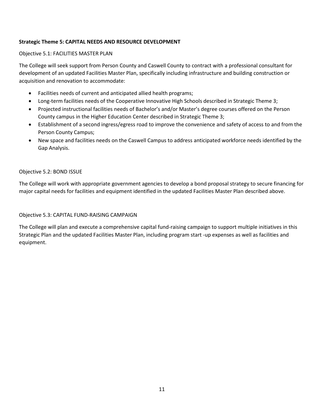#### **Strategic Theme 5: CAPITAL NEEDS AND RESOURCE DEVELOPMENT**

#### Objective 5.1: FACILITIES MASTER PLAN

The College will seek support from Person County and Caswell County to contract with a professional consultant for development of an updated Facilities Master Plan, specifically including infrastructure and building construction or acquisition and renovation to accommodate:

- Facilities needs of current and anticipated allied health programs;
- Long-term facilities needs of the Cooperative Innovative High Schools described in Strategic Theme 3;
- Projected instructional facilities needs of Bachelor's and/or Master's degree courses offered on the Person County campus in the Higher Education Center described in Strategic Theme 3;
- Establishment of a second ingress/egress road to improve the convenience and safety of access to and from the Person County Campus;
- New space and facilities needs on the Caswell Campus to address anticipated workforce needs identified by the Gap Analysis.

#### Objective 5.2: BOND ISSUE

The College will work with appropriate government agencies to develop a bond proposal strategy to secure financing for major capital needs for facilities and equipment identified in the updated Facilities Master Plan described above.

Objective 5.3: CAPITAL FUND-RAISING CAMPAIGN

The College will plan and execute a comprehensive capital fund-raising campaign to support multiple initiatives in this Strategic Plan and the updated Facilities Master Plan, including program start -up expenses as well as facilities and equipment.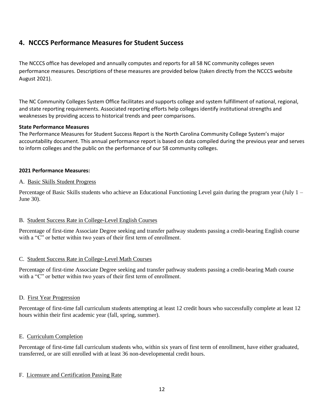# **4. NCCCS Performance Measures for Student Success**

The NCCCS office has developed and annually computes and reports for all 58 NC community colleges seven performance measures. Descriptions of these measures are provided below (taken directly from the NCCCS website August 2021).

The NC Community Colleges System Office facilitates and supports college and system fulfillment of national, regional, and state reporting requirements. Associated reporting efforts help colleges identify institutional strengths and weaknesses by providing access to historical trends and peer comparisons.

#### **State Performance Measures**

The Performance Measures for Student Success Report is the North Carolina Community College System's major accountability document. This annual performance report is based on data compiled during the previous year and serves to inform colleges and the public on the performance of our 58 community colleges.

#### **2021 Performance Measures:**

#### A. Basic Skills Student Progress

Percentage of Basic Skills students who achieve an Educational Functioning Level gain during the program year (July 1 – June 30).

#### B. Student Success Rate in College-Level English Courses

Percentage of first-time Associate Degree seeking and transfer pathway students passing a credit-bearing English course with a "C" or better within two years of their first term of enrollment.

#### C. Student Success Rate in College‐Level Math Courses

Percentage of first-time Associate Degree seeking and transfer pathway students passing a credit-bearing Math course with a "C" or better within two years of their first term of enrollment.

#### D. First Year Progression

Percentage of first-time fall curriculum students attempting at least 12 credit hours who successfully complete at least 12 hours within their first academic year (fall, spring, summer).

#### E. Curriculum Completion

Percentage of first-time fall curriculum students who, within six years of first term of enrollment, have either graduated, transferred, or are still enrolled with at least 36 non-developmental credit hours.

#### F. Licensure and Certification Passing Rate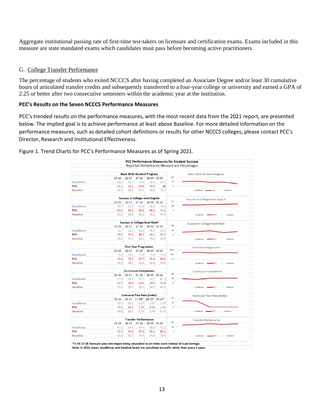Aggregate institutional passing rate of first-time test-takers on licensure and certification exams. Exams included in this measure are state mandated exams which candidates must pass before becoming active practitioners.

#### G. College Transfer Performance

The percentage of students who exited NCCCS after having completed an Associate Degree and/or least 30 cumulative hours of articulated transfer credits and subsequently transferred to a four-year college or university and earned a GPA of 2.25 or better after two consecutive semesters within the academic year at the institution.

#### **PCC's Results on the Seven NCCCS Performance Measures**

PCC's trended results on the performance measures, with the most recent data from the 2021 report, are presented below. The implied goal is to achieve performance at least above Baseline. For more detailed information on the performance measures, such as detailed cohort definitions or results for other NCCCS colleges, please contact PCC's Director, Research and Institutional Effectiveness.

Figure 1. Trend Charts for PCC's Performance Measures as of Spring 2021.

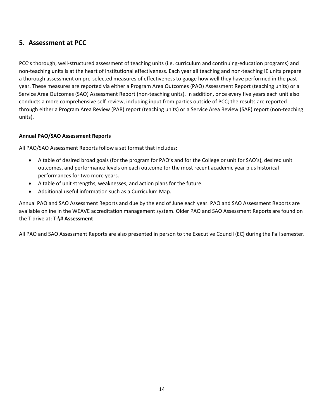# **5. Assessment at PCC**

PCC's thorough, well-structured assessment of teaching units (i.e. curriculum and continuing-education programs) and non-teaching units is at the heart of institutional effectiveness. Each year all teaching and non-teaching IE units prepare a thorough assessment on pre-selected measures of effectiveness to gauge how well they have performed in the past year. These measures are reported via either a Program Area Outcomes (PAO) Assessment Report (teaching units) or a Service Area Outcomes (SAO) Assessment Report (non-teaching units). In addition, once every five years each unit also conducts a more comprehensive self-review, including input from parties outside of PCC; the results are reported through either a Program Area Review (PAR) report (teaching units) or a Service Area Review (SAR) report (non-teaching units).

#### **Annual PAO/SAO Assessment Reports**

All PAO/SAO Assessment Reports follow a set format that includes:

- A table of desired broad goals (for the program for PAO's and for the College or unit for SAO's), desired unit outcomes, and performance levels on each outcome for the most recent academic year plus historical performances for two more years.
- A table of unit strengths, weaknesses, and action plans for the future.
- Additional useful information such as a Curriculum Map.

Annual PAO and SAO Assessment Reports and due by the end of June each year. PAO and SAO Assessment Reports are available online in the WEAVE accreditation management system. Older PAO and SAO Assessment Reports are found on the T drive at: **T:\# Assessment**

All PAO and SAO Assessment Reports are also presented in person to the Executive Council (EC) during the Fall semester.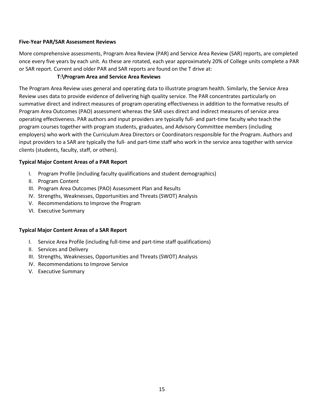#### **Five-Year PAR/SAR Assessment Reviews**

More comprehensive assessments, Program Area Review (PAR) and Service Area Review (SAR) reports, are completed once every five years by each unit. As these are rotated, each year approximately 20% of College units complete a PAR or SAR report. Current and older PAR and SAR reports are found on the T drive at:

#### **T:\Program Area and Service Area Reviews**

The Program Area Review uses general and operating data to illustrate program health. Similarly, the Service Area Review uses data to provide evidence of delivering high quality service. The PAR concentrates particularly on summative direct and indirect measures of program operating effectiveness in addition to the formative results of Program Area Outcomes (PAO) assessment whereas the SAR uses direct and indirect measures of service area operating effectiveness. PAR authors and input providers are typically full‐ and part‐time faculty who teach the program courses together with program students, graduates, and Advisory Committee members (including employers) who work with the Curriculum Area Directors or Coordinators responsible for the Program. Authors and input providers to a SAR are typically the full‐ and part‐time staff who work in the service area together with service clients (students, faculty, staff, or others).

#### **Typical Major Content Areas of a PAR Report**

- I. Program Profile (including faculty qualifications and student demographics)
- II. Program Content
- III. Program Area Outcomes (PAO) Assessment Plan and Results
- IV. Strengths, Weaknesses, Opportunities and Threats (SWOT) Analysis
- V. Recommendations to Improve the Program
- VI. Executive Summary

#### **Typical Major Content Areas of a SAR Report**

- I. Service Area Profile (including full-time and part-time staff qualifications)
- II. Services and Delivery
- III. Strengths, Weaknesses, Opportunities and Threats (SWOT) Analysis
- IV. Recommendations to Improve Service
- V. Executive Summary